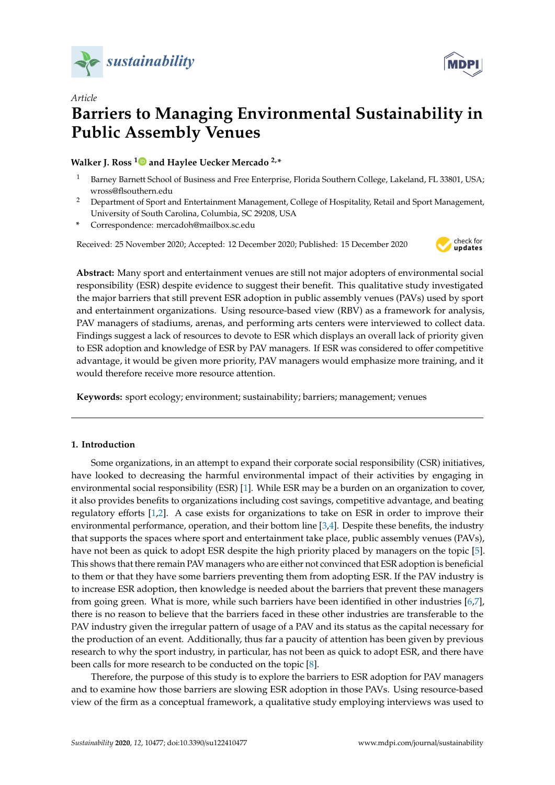



# *Article* **Barriers to Managing Environmental Sustainability in Public Assembly Venues**

# **Walker J. Ross [1](https://orcid.org/0000-0002-4194-8629) and Haylee Uecker Mercado 2,\***

- <sup>1</sup> Barney Barnett School of Business and Free Enterprise, Florida Southern College, Lakeland, FL 33801, USA; wross@flsouthern.edu
- <sup>2</sup> Department of Sport and Entertainment Management, College of Hospitality, Retail and Sport Management, University of South Carolina, Columbia, SC 29208, USA
- **\*** Correspondence: mercadoh@mailbox.sc.edu

Received: 25 November 2020; Accepted: 12 December 2020; Published: 15 December 2020



**Abstract:** Many sport and entertainment venues are still not major adopters of environmental social responsibility (ESR) despite evidence to suggest their benefit. This qualitative study investigated the major barriers that still prevent ESR adoption in public assembly venues (PAVs) used by sport and entertainment organizations. Using resource-based view (RBV) as a framework for analysis, PAV managers of stadiums, arenas, and performing arts centers were interviewed to collect data. Findings suggest a lack of resources to devote to ESR which displays an overall lack of priority given to ESR adoption and knowledge of ESR by PAV managers. If ESR was considered to offer competitive advantage, it would be given more priority, PAV managers would emphasize more training, and it would therefore receive more resource attention.

**Keywords:** sport ecology; environment; sustainability; barriers; management; venues

# **1. Introduction**

Some organizations, in an attempt to expand their corporate social responsibility (CSR) initiatives, have looked to decreasing the harmful environmental impact of their activities by engaging in environmental social responsibility (ESR) [\[1\]](#page-13-0). While ESR may be a burden on an organization to cover, it also provides benefits to organizations including cost savings, competitive advantage, and beating regulatory efforts [\[1](#page-13-0)[,2\]](#page-13-1). A case exists for organizations to take on ESR in order to improve their environmental performance, operation, and their bottom line [\[3,](#page-13-2)[4\]](#page-13-3). Despite these benefits, the industry that supports the spaces where sport and entertainment take place, public assembly venues (PAVs), have not been as quick to adopt ESR despite the high priority placed by managers on the topic [\[5\]](#page-13-4). This shows that there remain PAV managers who are either not convinced that ESR adoption is beneficial to them or that they have some barriers preventing them from adopting ESR. If the PAV industry is to increase ESR adoption, then knowledge is needed about the barriers that prevent these managers from going green. What is more, while such barriers have been identified in other industries [\[6,](#page-13-5)[7\]](#page-13-6), there is no reason to believe that the barriers faced in these other industries are transferable to the PAV industry given the irregular pattern of usage of a PAV and its status as the capital necessary for the production of an event. Additionally, thus far a paucity of attention has been given by previous research to why the sport industry, in particular, has not been as quick to adopt ESR, and there have been calls for more research to be conducted on the topic [\[8\]](#page-13-7).

Therefore, the purpose of this study is to explore the barriers to ESR adoption for PAV managers and to examine how those barriers are slowing ESR adoption in those PAVs. Using resource-based view of the firm as a conceptual framework, a qualitative study employing interviews was used to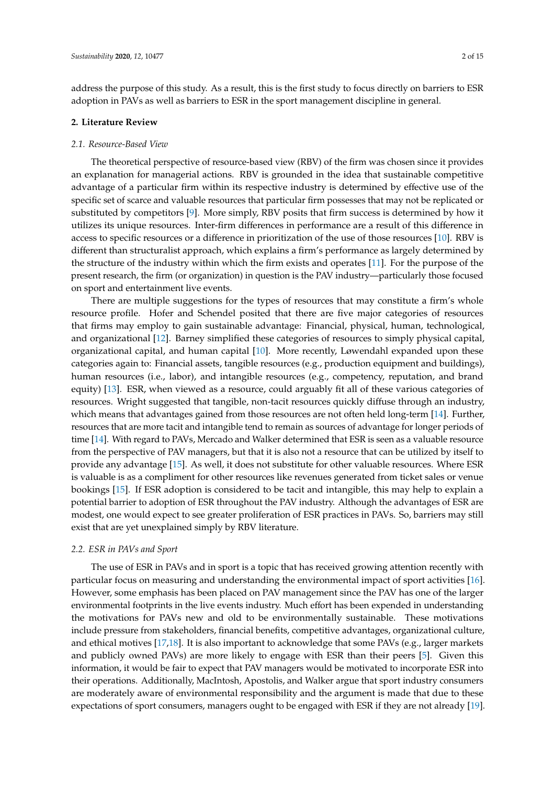address the purpose of this study. As a result, this is the first study to focus directly on barriers to ESR adoption in PAVs as well as barriers to ESR in the sport management discipline in general.

### **2. Literature Review**

### *2.1. Resource-Based View*

The theoretical perspective of resource-based view (RBV) of the firm was chosen since it provides an explanation for managerial actions. RBV is grounded in the idea that sustainable competitive advantage of a particular firm within its respective industry is determined by effective use of the specific set of scarce and valuable resources that particular firm possesses that may not be replicated or substituted by competitors [\[9\]](#page-13-8). More simply, RBV posits that firm success is determined by how it utilizes its unique resources. Inter-firm differences in performance are a result of this difference in access to specific resources or a difference in prioritization of the use of those resources [\[10\]](#page-13-9). RBV is different than structuralist approach, which explains a firm's performance as largely determined by the structure of the industry within which the firm exists and operates [\[11\]](#page-13-10). For the purpose of the present research, the firm (or organization) in question is the PAV industry—particularly those focused on sport and entertainment live events.

There are multiple suggestions for the types of resources that may constitute a firm's whole resource profile. Hofer and Schendel posited that there are five major categories of resources that firms may employ to gain sustainable advantage: Financial, physical, human, technological, and organizational [\[12\]](#page-13-11). Barney simplified these categories of resources to simply physical capital, organizational capital, and human capital [\[10\]](#page-13-9). More recently, Løwendahl expanded upon these categories again to: Financial assets, tangible resources (e.g., production equipment and buildings), human resources (i.e., labor), and intangible resources (e.g., competency, reputation, and brand equity) [\[13\]](#page-13-12). ESR, when viewed as a resource, could arguably fit all of these various categories of resources. Wright suggested that tangible, non-tacit resources quickly diffuse through an industry, which means that advantages gained from those resources are not often held long-term [\[14\]](#page-13-13). Further, resources that are more tacit and intangible tend to remain as sources of advantage for longer periods of time [\[14\]](#page-13-13). With regard to PAVs, Mercado and Walker determined that ESR is seen as a valuable resource from the perspective of PAV managers, but that it is also not a resource that can be utilized by itself to provide any advantage [\[15\]](#page-13-14). As well, it does not substitute for other valuable resources. Where ESR is valuable is as a compliment for other resources like revenues generated from ticket sales or venue bookings [\[15\]](#page-13-14). If ESR adoption is considered to be tacit and intangible, this may help to explain a potential barrier to adoption of ESR throughout the PAV industry. Although the advantages of ESR are modest, one would expect to see greater proliferation of ESR practices in PAVs. So, barriers may still exist that are yet unexplained simply by RBV literature.

### *2.2. ESR in PAVs and Sport*

The use of ESR in PAVs and in sport is a topic that has received growing attention recently with particular focus on measuring and understanding the environmental impact of sport activities [\[16\]](#page-13-15). However, some emphasis has been placed on PAV management since the PAV has one of the larger environmental footprints in the live events industry. Much effort has been expended in understanding the motivations for PAVs new and old to be environmentally sustainable. These motivations include pressure from stakeholders, financial benefits, competitive advantages, organizational culture, and ethical motives [\[17,](#page-13-16)[18\]](#page-13-17). It is also important to acknowledge that some PAVs (e.g., larger markets and publicly owned PAVs) are more likely to engage with ESR than their peers [\[5\]](#page-13-4). Given this information, it would be fair to expect that PAV managers would be motivated to incorporate ESR into their operations. Additionally, MacIntosh, Apostolis, and Walker argue that sport industry consumers are moderately aware of environmental responsibility and the argument is made that due to these expectations of sport consumers, managers ought to be engaged with ESR if they are not already [\[19\]](#page-13-18).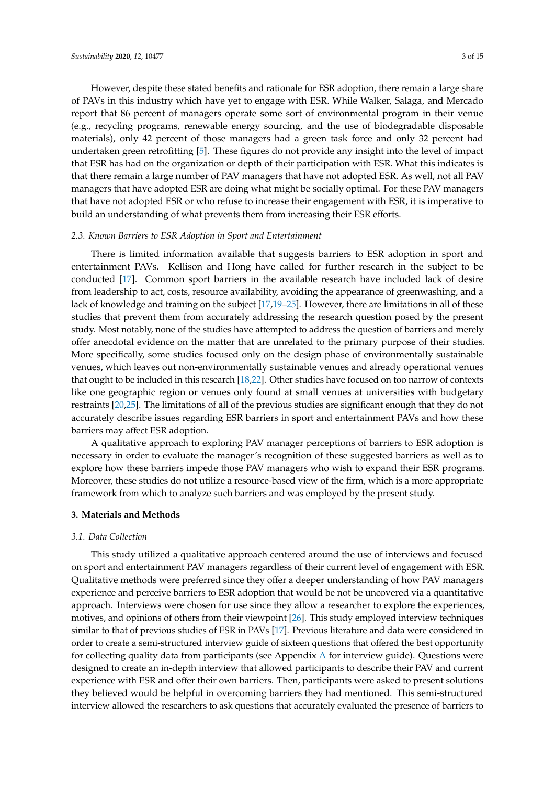However, despite these stated benefits and rationale for ESR adoption, there remain a large share of PAVs in this industry which have yet to engage with ESR. While Walker, Salaga, and Mercado report that 86 percent of managers operate some sort of environmental program in their venue (e.g., recycling programs, renewable energy sourcing, and the use of biodegradable disposable materials), only 42 percent of those managers had a green task force and only 32 percent had undertaken green retrofitting [\[5\]](#page-13-4). These figures do not provide any insight into the level of impact that ESR has had on the organization or depth of their participation with ESR. What this indicates is that there remain a large number of PAV managers that have not adopted ESR. As well, not all PAV managers that have adopted ESR are doing what might be socially optimal. For these PAV managers that have not adopted ESR or who refuse to increase their engagement with ESR, it is imperative to build an understanding of what prevents them from increasing their ESR efforts.

#### *2.3. Known Barriers to ESR Adoption in Sport and Entertainment*

There is limited information available that suggests barriers to ESR adoption in sport and entertainment PAVs. Kellison and Hong have called for further research in the subject to be conducted [\[17\]](#page-13-16). Common sport barriers in the available research have included lack of desire from leadership to act, costs, resource availability, avoiding the appearance of greenwashing, and a lack of knowledge and training on the subject [\[17](#page-13-16)[,19–](#page-13-18)[25\]](#page-14-0). However, there are limitations in all of these studies that prevent them from accurately addressing the research question posed by the present study. Most notably, none of the studies have attempted to address the question of barriers and merely offer anecdotal evidence on the matter that are unrelated to the primary purpose of their studies. More specifically, some studies focused only on the design phase of environmentally sustainable venues, which leaves out non-environmentally sustainable venues and already operational venues that ought to be included in this research [\[18,](#page-13-17)[22\]](#page-14-1). Other studies have focused on too narrow of contexts like one geographic region or venues only found at small venues at universities with budgetary restraints [\[20,](#page-13-19)[25\]](#page-14-0). The limitations of all of the previous studies are significant enough that they do not accurately describe issues regarding ESR barriers in sport and entertainment PAVs and how these barriers may affect ESR adoption.

A qualitative approach to exploring PAV manager perceptions of barriers to ESR adoption is necessary in order to evaluate the manager's recognition of these suggested barriers as well as to explore how these barriers impede those PAV managers who wish to expand their ESR programs. Moreover, these studies do not utilize a resource-based view of the firm, which is a more appropriate framework from which to analyze such barriers and was employed by the present study.

## **3. Materials and Methods**

### *3.1. Data Collection*

This study utilized a qualitative approach centered around the use of interviews and focused on sport and entertainment PAV managers regardless of their current level of engagement with ESR. Qualitative methods were preferred since they offer a deeper understanding of how PAV managers experience and perceive barriers to ESR adoption that would be not be uncovered via a quantitative approach. Interviews were chosen for use since they allow a researcher to explore the experiences, motives, and opinions of others from their viewpoint [\[26\]](#page-14-2). This study employed interview techniques similar to that of previous studies of ESR in PAVs [\[17\]](#page-13-16). Previous literature and data were considered in order to create a semi-structured interview guide of sixteen questions that offered the best opportunity for collecting quality data from participants (see Appendix [A](#page-12-0) for interview guide). Questions were designed to create an in-depth interview that allowed participants to describe their PAV and current experience with ESR and offer their own barriers. Then, participants were asked to present solutions they believed would be helpful in overcoming barriers they had mentioned. This semi-structured interview allowed the researchers to ask questions that accurately evaluated the presence of barriers to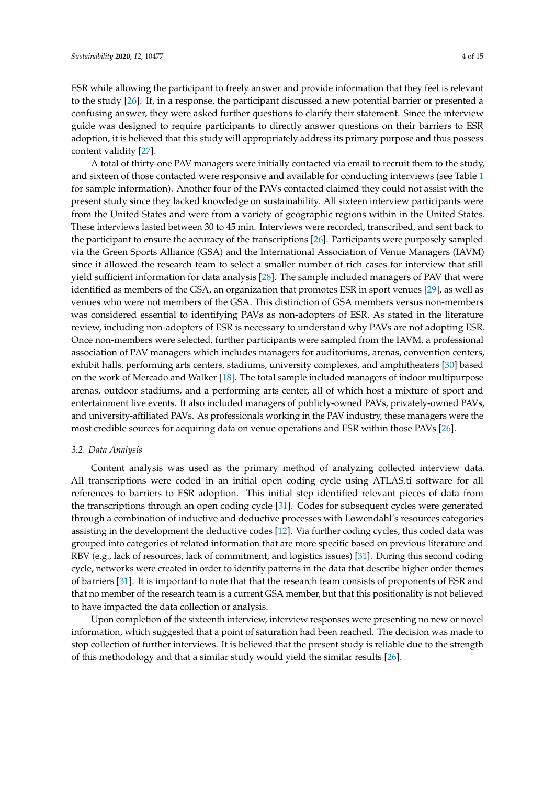ESR while allowing the participant to freely answer and provide information that they feel is relevant to the study [\[26\]](#page-14-2). If, in a response, the participant discussed a new potential barrier or presented a confusing answer, they were asked further questions to clarify their statement. Since the interview guide was designed to require participants to directly answer questions on their barriers to ESR adoption, it is believed that this study will appropriately address its primary purpose and thus possess content validity [\[27\]](#page-14-3).

A total of thirty-one PAV managers were initially contacted via email to recruit them to the study, and sixteen of those contacted were responsive and available for conducting interviews (see Table [1](#page-4-0) for sample information). Another four of the PAVs contacted claimed they could not assist with the present study since they lacked knowledge on sustainability. All sixteen interview participants were from the United States and were from a variety of geographic regions within in the United States. These interviews lasted between 30 to 45 min. Interviews were recorded, transcribed, and sent back to the participant to ensure the accuracy of the transcriptions [\[26\]](#page-14-2). Participants were purposely sampled via the Green Sports Alliance (GSA) and the International Association of Venue Managers (IAVM) since it allowed the research team to select a smaller number of rich cases for interview that still yield sufficient information for data analysis [\[28\]](#page-14-4). The sample included managers of PAV that were identified as members of the GSA, an organization that promotes ESR in sport venues [\[29\]](#page-14-5), as well as venues who were not members of the GSA. This distinction of GSA members versus non-members was considered essential to identifying PAVs as non-adopters of ESR. As stated in the literature review, including non-adopters of ESR is necessary to understand why PAVs are not adopting ESR. Once non-members were selected, further participants were sampled from the IAVM, a professional association of PAV managers which includes managers for auditoriums, arenas, convention centers, exhibit halls, performing arts centers, stadiums, university complexes, and amphitheaters [\[30\]](#page-14-6) based on the work of Mercado and Walker [\[18\]](#page-13-17). The total sample included managers of indoor multipurpose arenas, outdoor stadiums, and a performing arts center, all of which host a mixture of sport and entertainment live events. It also included managers of publicly-owned PAVs, privately-owned PAVs, and university-affiliated PAVs. As professionals working in the PAV industry, these managers were the most credible sources for acquiring data on venue operations and ESR within those PAVs [\[26\]](#page-14-2).

### *3.2. Data Analysis*

Content analysis was used as the primary method of analyzing collected interview data. All transcriptions were coded in an initial open coding cycle using ATLAS.ti software for all references to barriers to ESR adoption. This initial step identified relevant pieces of data from the transcriptions through an open coding cycle [\[31\]](#page-14-7). Codes for subsequent cycles were generated through a combination of inductive and deductive processes with Løwendahl's resources categories assisting in the development the deductive codes [\[12\]](#page-13-11). Via further coding cycles, this coded data was grouped into categories of related information that are more specific based on previous literature and RBV (e.g., lack of resources, lack of commitment, and logistics issues) [\[31\]](#page-14-7). During this second coding cycle, networks were created in order to identify patterns in the data that describe higher order themes of barriers [\[31\]](#page-14-7). It is important to note that that the research team consists of proponents of ESR and that no member of the research team is a current GSA member, but that this positionality is not believed to have impacted the data collection or analysis.

Upon completion of the sixteenth interview, interview responses were presenting no new or novel information, which suggested that a point of saturation had been reached. The decision was made to stop collection of further interviews. It is believed that the present study is reliable due to the strength of this methodology and that a similar study would yield the similar results [\[26\]](#page-14-2).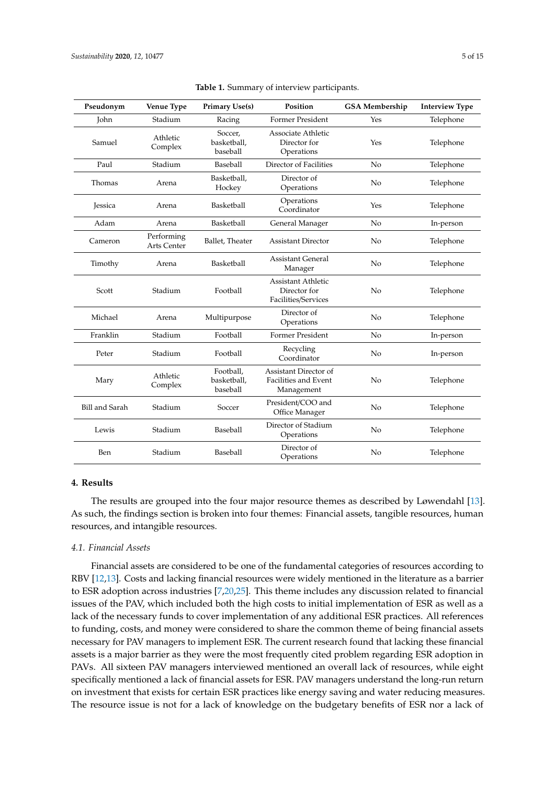<span id="page-4-0"></span>

| Pseudonym             | Venue Type                       | <b>Primary Use(s)</b>                | Position                                                    | <b>GSA Membership</b> | <b>Interview Type</b> |
|-----------------------|----------------------------------|--------------------------------------|-------------------------------------------------------------|-----------------------|-----------------------|
| John                  | Stadium                          | Racing                               | <b>Former President</b>                                     | Yes                   | Telephone             |
| Samuel                | Athletic<br>Complex              | Soccer,<br>basketball,<br>baseball   | Associate Athletic<br>Director for<br>Operations            | Yes                   | Telephone             |
| Paul                  | Stadium                          | Baseball                             | Director of Facilities                                      | No                    | Telephone             |
| Thomas                | Arena                            | Basketball.<br>Hockey                | Director of<br>Operations                                   | No                    | Telephone             |
| <b>Jessica</b>        | Arena                            | Basketball                           | Operations<br>Coordinator                                   | Yes                   | Telephone             |
| Adam                  | Arena                            | Basketball                           | General Manager                                             | No                    | In-person             |
| Cameron               | Performing<br><b>Arts Center</b> | Ballet, Theater                      | <b>Assistant Director</b>                                   | N <sub>0</sub>        | Telephone             |
| Timothy               | Arena                            | Basketball                           | <b>Assistant General</b><br>Manager                         | No                    | Telephone             |
| Scott                 | Stadium                          | Football                             | Assistant Athletic<br>Director for<br>Facilities/Services   | N <sub>0</sub>        | Telephone             |
| Michael               | Arena                            | Multipurpose                         | Director of<br>Operations                                   | N <sub>0</sub>        | Telephone             |
| Franklin              | Stadium                          | Football                             | <b>Former President</b>                                     | No                    | In-person             |
| Peter                 | Stadium                          | Football                             | Recycling<br>Coordinator                                    | N <sub>0</sub>        | In-person             |
| Mary                  | Athletic<br>Complex              | Football,<br>basketball,<br>baseball | Assistant Director of<br>Facilities and Event<br>Management | No                    | Telephone             |
| <b>Bill and Sarah</b> | Stadium                          | Soccer                               | President/COO and<br>Office Manager                         | No                    | Telephone             |
| Lewis                 | Stadium                          | Baseball                             | Director of Stadium<br>Operations                           | No                    | Telephone             |
| Ben                   | Stadium                          | Baseball                             | Director of<br>Operations                                   | No                    | Telephone             |

**Table 1.** Summary of interview participants.

# **4. Results**

The results are grouped into the four major resource themes as described by Løwendahl [\[13\]](#page-13-12). As such, the findings section is broken into four themes: Financial assets, tangible resources, human resources, and intangible resources.

# *4.1. Financial Assets*

Financial assets are considered to be one of the fundamental categories of resources according to RBV [\[12](#page-13-11)[,13\]](#page-13-12). Costs and lacking financial resources were widely mentioned in the literature as a barrier to ESR adoption across industries [\[7](#page-13-6)[,20](#page-13-19)[,25\]](#page-14-0). This theme includes any discussion related to financial issues of the PAV, which included both the high costs to initial implementation of ESR as well as a lack of the necessary funds to cover implementation of any additional ESR practices. All references to funding, costs, and money were considered to share the common theme of being financial assets necessary for PAV managers to implement ESR. The current research found that lacking these financial assets is a major barrier as they were the most frequently cited problem regarding ESR adoption in PAVs. All sixteen PAV managers interviewed mentioned an overall lack of resources, while eight specifically mentioned a lack of financial assets for ESR. PAV managers understand the long-run return on investment that exists for certain ESR practices like energy saving and water reducing measures. The resource issue is not for a lack of knowledge on the budgetary benefits of ESR nor a lack of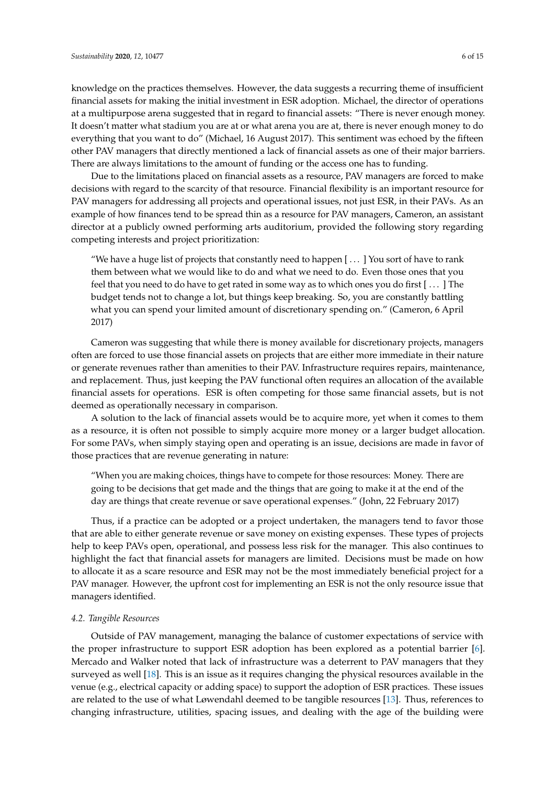knowledge on the practices themselves. However, the data suggests a recurring theme of insufficient financial assets for making the initial investment in ESR adoption. Michael, the director of operations at a multipurpose arena suggested that in regard to financial assets: "There is never enough money. It doesn't matter what stadium you are at or what arena you are at, there is never enough money to do everything that you want to do" (Michael, 16 August 2017). This sentiment was echoed by the fifteen other PAV managers that directly mentioned a lack of financial assets as one of their major barriers. There are always limitations to the amount of funding or the access one has to funding.

Due to the limitations placed on financial assets as a resource, PAV managers are forced to make decisions with regard to the scarcity of that resource. Financial flexibility is an important resource for PAV managers for addressing all projects and operational issues, not just ESR, in their PAVs. As an example of how finances tend to be spread thin as a resource for PAV managers, Cameron, an assistant director at a publicly owned performing arts auditorium, provided the following story regarding competing interests and project prioritization:

"We have a huge list of projects that constantly need to happen  $[ \dots ]$  You sort of have to rank them between what we would like to do and what we need to do. Even those ones that you feel that you need to do have to get rated in some way as to which ones you do first [ . . . ] The budget tends not to change a lot, but things keep breaking. So, you are constantly battling what you can spend your limited amount of discretionary spending on." (Cameron, 6 April 2017)

Cameron was suggesting that while there is money available for discretionary projects, managers often are forced to use those financial assets on projects that are either more immediate in their nature or generate revenues rather than amenities to their PAV. Infrastructure requires repairs, maintenance, and replacement. Thus, just keeping the PAV functional often requires an allocation of the available financial assets for operations. ESR is often competing for those same financial assets, but is not deemed as operationally necessary in comparison.

A solution to the lack of financial assets would be to acquire more, yet when it comes to them as a resource, it is often not possible to simply acquire more money or a larger budget allocation. For some PAVs, when simply staying open and operating is an issue, decisions are made in favor of those practices that are revenue generating in nature:

"When you are making choices, things have to compete for those resources: Money. There are going to be decisions that get made and the things that are going to make it at the end of the day are things that create revenue or save operational expenses." (John, 22 February 2017)

Thus, if a practice can be adopted or a project undertaken, the managers tend to favor those that are able to either generate revenue or save money on existing expenses. These types of projects help to keep PAVs open, operational, and possess less risk for the manager. This also continues to highlight the fact that financial assets for managers are limited. Decisions must be made on how to allocate it as a scare resource and ESR may not be the most immediately beneficial project for a PAV manager. However, the upfront cost for implementing an ESR is not the only resource issue that managers identified.

### *4.2. Tangible Resources*

Outside of PAV management, managing the balance of customer expectations of service with the proper infrastructure to support ESR adoption has been explored as a potential barrier [\[6\]](#page-13-5). Mercado and Walker noted that lack of infrastructure was a deterrent to PAV managers that they surveyed as well [\[18\]](#page-13-17). This is an issue as it requires changing the physical resources available in the venue (e.g., electrical capacity or adding space) to support the adoption of ESR practices. These issues are related to the use of what Løwendahl deemed to be tangible resources [\[13\]](#page-13-12). Thus, references to changing infrastructure, utilities, spacing issues, and dealing with the age of the building were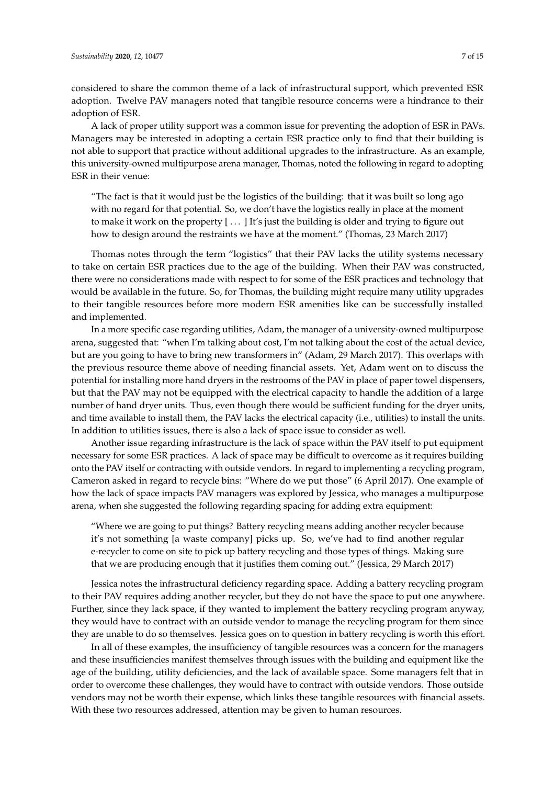considered to share the common theme of a lack of infrastructural support, which prevented ESR adoption. Twelve PAV managers noted that tangible resource concerns were a hindrance to their adoption of ESR.

A lack of proper utility support was a common issue for preventing the adoption of ESR in PAVs. Managers may be interested in adopting a certain ESR practice only to find that their building is not able to support that practice without additional upgrades to the infrastructure. As an example, this university-owned multipurpose arena manager, Thomas, noted the following in regard to adopting ESR in their venue:

"The fact is that it would just be the logistics of the building: that it was built so long ago with no regard for that potential. So, we don't have the logistics really in place at the moment to make it work on the property  $[\,\dots\,]$  It's just the building is older and trying to figure out how to design around the restraints we have at the moment." (Thomas, 23 March 2017)

Thomas notes through the term "logistics" that their PAV lacks the utility systems necessary to take on certain ESR practices due to the age of the building. When their PAV was constructed, there were no considerations made with respect to for some of the ESR practices and technology that would be available in the future. So, for Thomas, the building might require many utility upgrades to their tangible resources before more modern ESR amenities like can be successfully installed and implemented.

In a more specific case regarding utilities, Adam, the manager of a university-owned multipurpose arena, suggested that: "when I'm talking about cost, I'm not talking about the cost of the actual device, but are you going to have to bring new transformers in" (Adam, 29 March 2017). This overlaps with the previous resource theme above of needing financial assets. Yet, Adam went on to discuss the potential for installing more hand dryers in the restrooms of the PAV in place of paper towel dispensers, but that the PAV may not be equipped with the electrical capacity to handle the addition of a large number of hand dryer units. Thus, even though there would be sufficient funding for the dryer units, and time available to install them, the PAV lacks the electrical capacity (i.e., utilities) to install the units. In addition to utilities issues, there is also a lack of space issue to consider as well.

Another issue regarding infrastructure is the lack of space within the PAV itself to put equipment necessary for some ESR practices. A lack of space may be difficult to overcome as it requires building onto the PAV itself or contracting with outside vendors. In regard to implementing a recycling program, Cameron asked in regard to recycle bins: "Where do we put those" (6 April 2017). One example of how the lack of space impacts PAV managers was explored by Jessica, who manages a multipurpose arena, when she suggested the following regarding spacing for adding extra equipment:

"Where we are going to put things? Battery recycling means adding another recycler because it's not something [a waste company] picks up. So, we've had to find another regular e-recycler to come on site to pick up battery recycling and those types of things. Making sure that we are producing enough that it justifies them coming out." (Jessica, 29 March 2017)

Jessica notes the infrastructural deficiency regarding space. Adding a battery recycling program to their PAV requires adding another recycler, but they do not have the space to put one anywhere. Further, since they lack space, if they wanted to implement the battery recycling program anyway, they would have to contract with an outside vendor to manage the recycling program for them since they are unable to do so themselves. Jessica goes on to question in battery recycling is worth this effort.

In all of these examples, the insufficiency of tangible resources was a concern for the managers and these insufficiencies manifest themselves through issues with the building and equipment like the age of the building, utility deficiencies, and the lack of available space. Some managers felt that in order to overcome these challenges, they would have to contract with outside vendors. Those outside vendors may not be worth their expense, which links these tangible resources with financial assets. With these two resources addressed, attention may be given to human resources.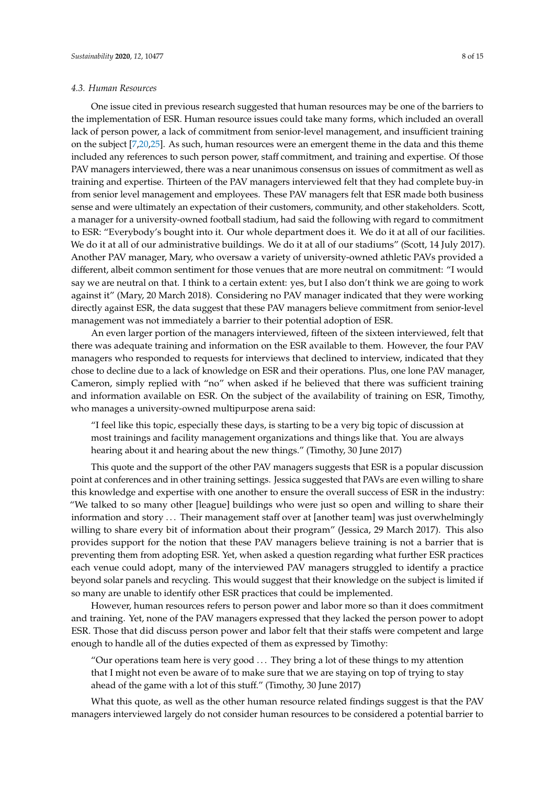### *4.3. Human Resources*

One issue cited in previous research suggested that human resources may be one of the barriers to the implementation of ESR. Human resource issues could take many forms, which included an overall lack of person power, a lack of commitment from senior-level management, and insufficient training on the subject [\[7](#page-13-6)[,20,](#page-13-19)[25\]](#page-14-0). As such, human resources were an emergent theme in the data and this theme included any references to such person power, staff commitment, and training and expertise. Of those PAV managers interviewed, there was a near unanimous consensus on issues of commitment as well as training and expertise. Thirteen of the PAV managers interviewed felt that they had complete buy-in from senior level management and employees. These PAV managers felt that ESR made both business sense and were ultimately an expectation of their customers, community, and other stakeholders. Scott, a manager for a university-owned football stadium, had said the following with regard to commitment to ESR: "Everybody's bought into it. Our whole department does it. We do it at all of our facilities. We do it at all of our administrative buildings. We do it at all of our stadiums" (Scott, 14 July 2017). Another PAV manager, Mary, who oversaw a variety of university-owned athletic PAVs provided a different, albeit common sentiment for those venues that are more neutral on commitment: "I would say we are neutral on that. I think to a certain extent: yes, but I also don't think we are going to work against it" (Mary, 20 March 2018). Considering no PAV manager indicated that they were working directly against ESR, the data suggest that these PAV managers believe commitment from senior-level management was not immediately a barrier to their potential adoption of ESR.

An even larger portion of the managers interviewed, fifteen of the sixteen interviewed, felt that there was adequate training and information on the ESR available to them. However, the four PAV managers who responded to requests for interviews that declined to interview, indicated that they chose to decline due to a lack of knowledge on ESR and their operations. Plus, one lone PAV manager, Cameron, simply replied with "no" when asked if he believed that there was sufficient training and information available on ESR. On the subject of the availability of training on ESR, Timothy, who manages a university-owned multipurpose arena said:

"I feel like this topic, especially these days, is starting to be a very big topic of discussion at most trainings and facility management organizations and things like that. You are always hearing about it and hearing about the new things." (Timothy, 30 June 2017)

This quote and the support of the other PAV managers suggests that ESR is a popular discussion point at conferences and in other training settings. Jessica suggested that PAVs are even willing to share this knowledge and expertise with one another to ensure the overall success of ESR in the industry: "We talked to so many other [league] buildings who were just so open and willing to share their information and story ... Their management staff over at [another team] was just overwhelmingly willing to share every bit of information about their program" (Jessica, 29 March 2017). This also provides support for the notion that these PAV managers believe training is not a barrier that is preventing them from adopting ESR. Yet, when asked a question regarding what further ESR practices each venue could adopt, many of the interviewed PAV managers struggled to identify a practice beyond solar panels and recycling. This would suggest that their knowledge on the subject is limited if so many are unable to identify other ESR practices that could be implemented.

However, human resources refers to person power and labor more so than it does commitment and training. Yet, none of the PAV managers expressed that they lacked the person power to adopt ESR. Those that did discuss person power and labor felt that their staffs were competent and large enough to handle all of the duties expected of them as expressed by Timothy:

"Our operations team here is very good  $\ldots$  They bring a lot of these things to my attention that I might not even be aware of to make sure that we are staying on top of trying to stay ahead of the game with a lot of this stuff." (Timothy, 30 June 2017)

What this quote, as well as the other human resource related findings suggest is that the PAV managers interviewed largely do not consider human resources to be considered a potential barrier to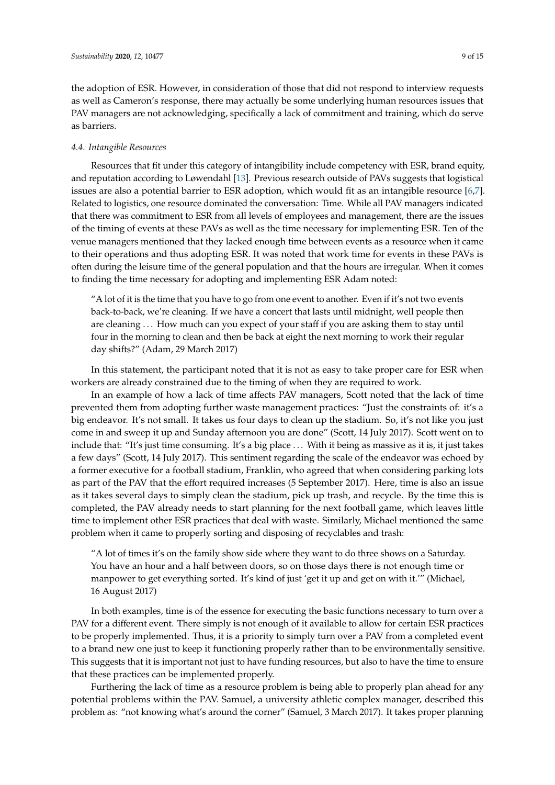the adoption of ESR. However, in consideration of those that did not respond to interview requests as well as Cameron's response, there may actually be some underlying human resources issues that PAV managers are not acknowledging, specifically a lack of commitment and training, which do serve as barriers.

## *4.4. Intangible Resources*

Resources that fit under this category of intangibility include competency with ESR, brand equity, and reputation according to Løwendahl [\[13\]](#page-13-12). Previous research outside of PAVs suggests that logistical issues are also a potential barrier to ESR adoption, which would fit as an intangible resource [\[6,](#page-13-5)[7\]](#page-13-6). Related to logistics, one resource dominated the conversation: Time. While all PAV managers indicated that there was commitment to ESR from all levels of employees and management, there are the issues of the timing of events at these PAVs as well as the time necessary for implementing ESR. Ten of the venue managers mentioned that they lacked enough time between events as a resource when it came to their operations and thus adopting ESR. It was noted that work time for events in these PAVs is often during the leisure time of the general population and that the hours are irregular. When it comes to finding the time necessary for adopting and implementing ESR Adam noted:

"A lot of it is the time that you have to go from one event to another. Even if it's not two events back-to-back, we're cleaning. If we have a concert that lasts until midnight, well people then are cleaning . . . How much can you expect of your staff if you are asking them to stay until four in the morning to clean and then be back at eight the next morning to work their regular day shifts?" (Adam, 29 March 2017)

In this statement, the participant noted that it is not as easy to take proper care for ESR when workers are already constrained due to the timing of when they are required to work.

In an example of how a lack of time affects PAV managers, Scott noted that the lack of time prevented them from adopting further waste management practices: "Just the constraints of: it's a big endeavor. It's not small. It takes us four days to clean up the stadium. So, it's not like you just come in and sweep it up and Sunday afternoon you are done" (Scott, 14 July 2017). Scott went on to include that: "It's just time consuming. It's a big place . . . With it being as massive as it is, it just takes a few days" (Scott, 14 July 2017). This sentiment regarding the scale of the endeavor was echoed by a former executive for a football stadium, Franklin, who agreed that when considering parking lots as part of the PAV that the effort required increases (5 September 2017). Here, time is also an issue as it takes several days to simply clean the stadium, pick up trash, and recycle. By the time this is completed, the PAV already needs to start planning for the next football game, which leaves little time to implement other ESR practices that deal with waste. Similarly, Michael mentioned the same problem when it came to properly sorting and disposing of recyclables and trash:

"A lot of times it's on the family show side where they want to do three shows on a Saturday. You have an hour and a half between doors, so on those days there is not enough time or manpower to get everything sorted. It's kind of just 'get it up and get on with it.'" (Michael, 16 August 2017)

In both examples, time is of the essence for executing the basic functions necessary to turn over a PAV for a different event. There simply is not enough of it available to allow for certain ESR practices to be properly implemented. Thus, it is a priority to simply turn over a PAV from a completed event to a brand new one just to keep it functioning properly rather than to be environmentally sensitive. This suggests that it is important not just to have funding resources, but also to have the time to ensure that these practices can be implemented properly.

Furthering the lack of time as a resource problem is being able to properly plan ahead for any potential problems within the PAV. Samuel, a university athletic complex manager, described this problem as: "not knowing what's around the corner" (Samuel, 3 March 2017). It takes proper planning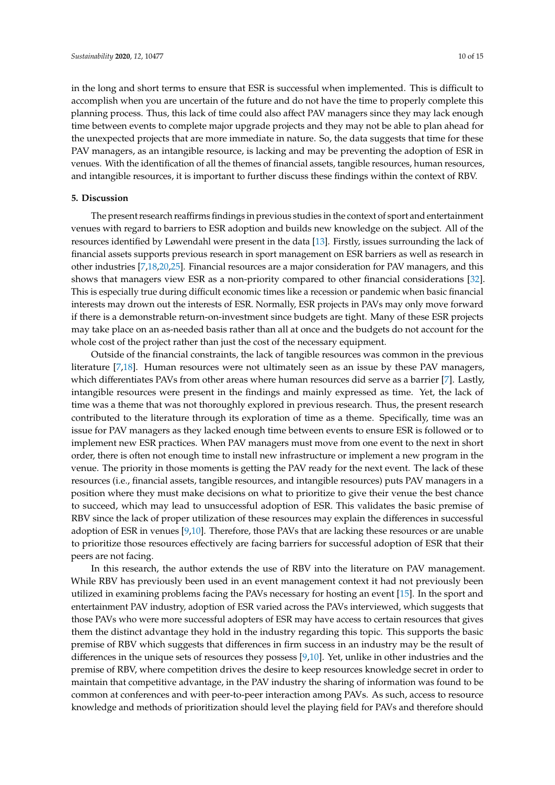in the long and short terms to ensure that ESR is successful when implemented. This is difficult to accomplish when you are uncertain of the future and do not have the time to properly complete this planning process. Thus, this lack of time could also affect PAV managers since they may lack enough time between events to complete major upgrade projects and they may not be able to plan ahead for the unexpected projects that are more immediate in nature. So, the data suggests that time for these PAV managers, as an intangible resource, is lacking and may be preventing the adoption of ESR in venues. With the identification of all the themes of financial assets, tangible resources, human resources, and intangible resources, it is important to further discuss these findings within the context of RBV.

# **5. Discussion**

The present research reaffirms findings in previous studies in the context of sport and entertainment venues with regard to barriers to ESR adoption and builds new knowledge on the subject. All of the resources identified by Løwendahl were present in the data [\[13\]](#page-13-12). Firstly, issues surrounding the lack of financial assets supports previous research in sport management on ESR barriers as well as research in other industries [\[7,](#page-13-6)[18](#page-13-17)[,20](#page-13-19)[,25\]](#page-14-0). Financial resources are a major consideration for PAV managers, and this shows that managers view ESR as a non-priority compared to other financial considerations [\[32\]](#page-14-8). This is especially true during difficult economic times like a recession or pandemic when basic financial interests may drown out the interests of ESR. Normally, ESR projects in PAVs may only move forward if there is a demonstrable return-on-investment since budgets are tight. Many of these ESR projects may take place on an as-needed basis rather than all at once and the budgets do not account for the whole cost of the project rather than just the cost of the necessary equipment.

Outside of the financial constraints, the lack of tangible resources was common in the previous literature [\[7](#page-13-6)[,18\]](#page-13-17). Human resources were not ultimately seen as an issue by these PAV managers, which differentiates PAVs from other areas where human resources did serve as a barrier [\[7\]](#page-13-6). Lastly, intangible resources were present in the findings and mainly expressed as time. Yet, the lack of time was a theme that was not thoroughly explored in previous research. Thus, the present research contributed to the literature through its exploration of time as a theme. Specifically, time was an issue for PAV managers as they lacked enough time between events to ensure ESR is followed or to implement new ESR practices. When PAV managers must move from one event to the next in short order, there is often not enough time to install new infrastructure or implement a new program in the venue. The priority in those moments is getting the PAV ready for the next event. The lack of these resources (i.e., financial assets, tangible resources, and intangible resources) puts PAV managers in a position where they must make decisions on what to prioritize to give their venue the best chance to succeed, which may lead to unsuccessful adoption of ESR. This validates the basic premise of RBV since the lack of proper utilization of these resources may explain the differences in successful adoption of ESR in venues [\[9](#page-13-8)[,10\]](#page-13-9). Therefore, those PAVs that are lacking these resources or are unable to prioritize those resources effectively are facing barriers for successful adoption of ESR that their peers are not facing.

In this research, the author extends the use of RBV into the literature on PAV management. While RBV has previously been used in an event management context it had not previously been utilized in examining problems facing the PAVs necessary for hosting an event [\[15\]](#page-13-14). In the sport and entertainment PAV industry, adoption of ESR varied across the PAVs interviewed, which suggests that those PAVs who were more successful adopters of ESR may have access to certain resources that gives them the distinct advantage they hold in the industry regarding this topic. This supports the basic premise of RBV which suggests that differences in firm success in an industry may be the result of differences in the unique sets of resources they possess [\[9,](#page-13-8)[10\]](#page-13-9). Yet, unlike in other industries and the premise of RBV, where competition drives the desire to keep resources knowledge secret in order to maintain that competitive advantage, in the PAV industry the sharing of information was found to be common at conferences and with peer-to-peer interaction among PAVs. As such, access to resource knowledge and methods of prioritization should level the playing field for PAVs and therefore should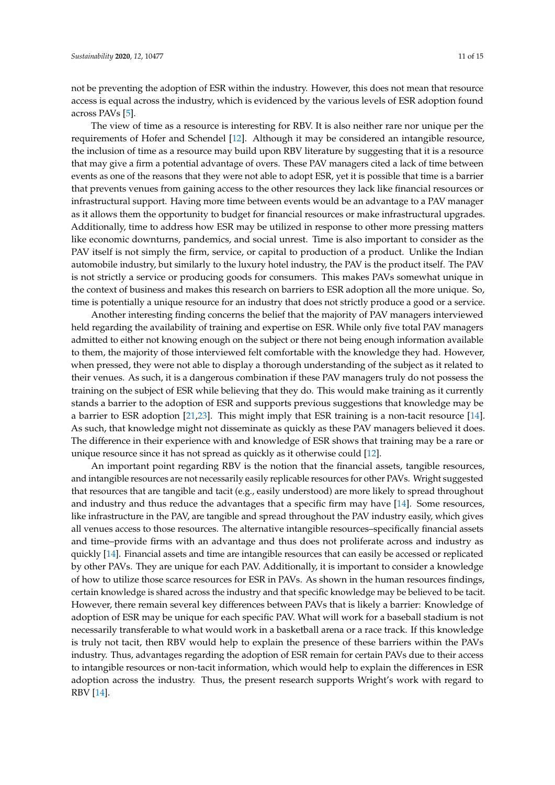not be preventing the adoption of ESR within the industry. However, this does not mean that resource access is equal across the industry, which is evidenced by the various levels of ESR adoption found across PAVs [\[5\]](#page-13-4).

The view of time as a resource is interesting for RBV. It is also neither rare nor unique per the requirements of Hofer and Schendel [\[12\]](#page-13-11). Although it may be considered an intangible resource, the inclusion of time as a resource may build upon RBV literature by suggesting that it is a resource that may give a firm a potential advantage of overs. These PAV managers cited a lack of time between events as one of the reasons that they were not able to adopt ESR, yet it is possible that time is a barrier that prevents venues from gaining access to the other resources they lack like financial resources or infrastructural support. Having more time between events would be an advantage to a PAV manager as it allows them the opportunity to budget for financial resources or make infrastructural upgrades. Additionally, time to address how ESR may be utilized in response to other more pressing matters like economic downturns, pandemics, and social unrest. Time is also important to consider as the PAV itself is not simply the firm, service, or capital to production of a product. Unlike the Indian automobile industry, but similarly to the luxury hotel industry, the PAV is the product itself. The PAV is not strictly a service or producing goods for consumers. This makes PAVs somewhat unique in the context of business and makes this research on barriers to ESR adoption all the more unique. So, time is potentially a unique resource for an industry that does not strictly produce a good or a service.

Another interesting finding concerns the belief that the majority of PAV managers interviewed held regarding the availability of training and expertise on ESR. While only five total PAV managers admitted to either not knowing enough on the subject or there not being enough information available to them, the majority of those interviewed felt comfortable with the knowledge they had. However, when pressed, they were not able to display a thorough understanding of the subject as it related to their venues. As such, it is a dangerous combination if these PAV managers truly do not possess the training on the subject of ESR while believing that they do. This would make training as it currently stands a barrier to the adoption of ESR and supports previous suggestions that knowledge may be a barrier to ESR adoption [\[21,](#page-13-20)[23\]](#page-14-9). This might imply that ESR training is a non-tacit resource [\[14\]](#page-13-13). As such, that knowledge might not disseminate as quickly as these PAV managers believed it does. The difference in their experience with and knowledge of ESR shows that training may be a rare or unique resource since it has not spread as quickly as it otherwise could [\[12\]](#page-13-11).

An important point regarding RBV is the notion that the financial assets, tangible resources, and intangible resources are not necessarily easily replicable resources for other PAVs. Wright suggested that resources that are tangible and tacit (e.g., easily understood) are more likely to spread throughout and industry and thus reduce the advantages that a specific firm may have [\[14\]](#page-13-13). Some resources, like infrastructure in the PAV, are tangible and spread throughout the PAV industry easily, which gives all venues access to those resources. The alternative intangible resources–specifically financial assets and time–provide firms with an advantage and thus does not proliferate across and industry as quickly [\[14\]](#page-13-13). Financial assets and time are intangible resources that can easily be accessed or replicated by other PAVs. They are unique for each PAV. Additionally, it is important to consider a knowledge of how to utilize those scarce resources for ESR in PAVs. As shown in the human resources findings, certain knowledge is shared across the industry and that specific knowledge may be believed to be tacit. However, there remain several key differences between PAVs that is likely a barrier: Knowledge of adoption of ESR may be unique for each specific PAV. What will work for a baseball stadium is not necessarily transferable to what would work in a basketball arena or a race track. If this knowledge is truly not tacit, then RBV would help to explain the presence of these barriers within the PAVs industry. Thus, advantages regarding the adoption of ESR remain for certain PAVs due to their access to intangible resources or non-tacit information, which would help to explain the differences in ESR adoption across the industry. Thus, the present research supports Wright's work with regard to RBV [\[14\]](#page-13-13).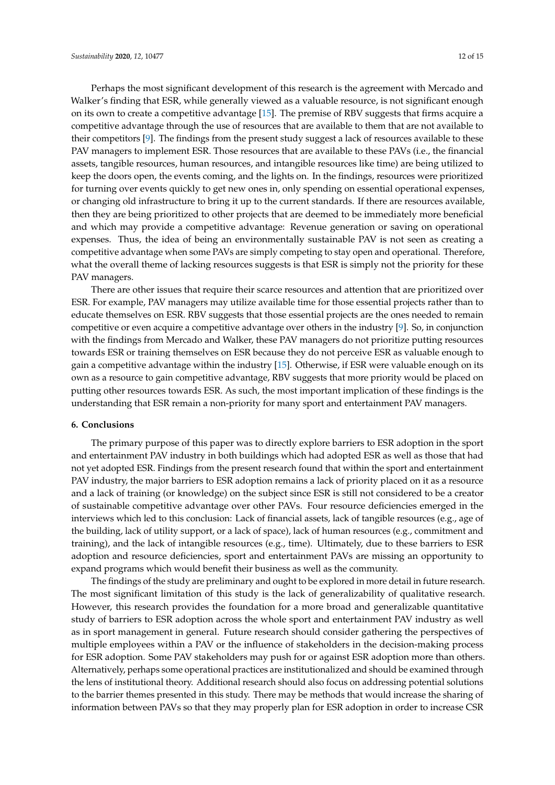Perhaps the most significant development of this research is the agreement with Mercado and Walker's finding that ESR, while generally viewed as a valuable resource, is not significant enough on its own to create a competitive advantage [\[15\]](#page-13-14). The premise of RBV suggests that firms acquire a competitive advantage through the use of resources that are available to them that are not available to their competitors [\[9\]](#page-13-8). The findings from the present study suggest a lack of resources available to these PAV managers to implement ESR. Those resources that are available to these PAVs (i.e., the financial assets, tangible resources, human resources, and intangible resources like time) are being utilized to keep the doors open, the events coming, and the lights on. In the findings, resources were prioritized for turning over events quickly to get new ones in, only spending on essential operational expenses, or changing old infrastructure to bring it up to the current standards. If there are resources available, then they are being prioritized to other projects that are deemed to be immediately more beneficial and which may provide a competitive advantage: Revenue generation or saving on operational expenses. Thus, the idea of being an environmentally sustainable PAV is not seen as creating a competitive advantage when some PAVs are simply competing to stay open and operational. Therefore, what the overall theme of lacking resources suggests is that ESR is simply not the priority for these PAV managers.

There are other issues that require their scarce resources and attention that are prioritized over ESR. For example, PAV managers may utilize available time for those essential projects rather than to educate themselves on ESR. RBV suggests that those essential projects are the ones needed to remain competitive or even acquire a competitive advantage over others in the industry [\[9\]](#page-13-8). So, in conjunction with the findings from Mercado and Walker, these PAV managers do not prioritize putting resources towards ESR or training themselves on ESR because they do not perceive ESR as valuable enough to gain a competitive advantage within the industry [\[15\]](#page-13-14). Otherwise, if ESR were valuable enough on its own as a resource to gain competitive advantage, RBV suggests that more priority would be placed on putting other resources towards ESR. As such, the most important implication of these findings is the understanding that ESR remain a non-priority for many sport and entertainment PAV managers.

### **6. Conclusions**

The primary purpose of this paper was to directly explore barriers to ESR adoption in the sport and entertainment PAV industry in both buildings which had adopted ESR as well as those that had not yet adopted ESR. Findings from the present research found that within the sport and entertainment PAV industry, the major barriers to ESR adoption remains a lack of priority placed on it as a resource and a lack of training (or knowledge) on the subject since ESR is still not considered to be a creator of sustainable competitive advantage over other PAVs. Four resource deficiencies emerged in the interviews which led to this conclusion: Lack of financial assets, lack of tangible resources (e.g., age of the building, lack of utility support, or a lack of space), lack of human resources (e.g., commitment and training), and the lack of intangible resources (e.g., time). Ultimately, due to these barriers to ESR adoption and resource deficiencies, sport and entertainment PAVs are missing an opportunity to expand programs which would benefit their business as well as the community.

The findings of the study are preliminary and ought to be explored in more detail in future research. The most significant limitation of this study is the lack of generalizability of qualitative research. However, this research provides the foundation for a more broad and generalizable quantitative study of barriers to ESR adoption across the whole sport and entertainment PAV industry as well as in sport management in general. Future research should consider gathering the perspectives of multiple employees within a PAV or the influence of stakeholders in the decision-making process for ESR adoption. Some PAV stakeholders may push for or against ESR adoption more than others. Alternatively, perhaps some operational practices are institutionalized and should be examined through the lens of institutional theory. Additional research should also focus on addressing potential solutions to the barrier themes presented in this study. There may be methods that would increase the sharing of information between PAVs so that they may properly plan for ESR adoption in order to increase CSR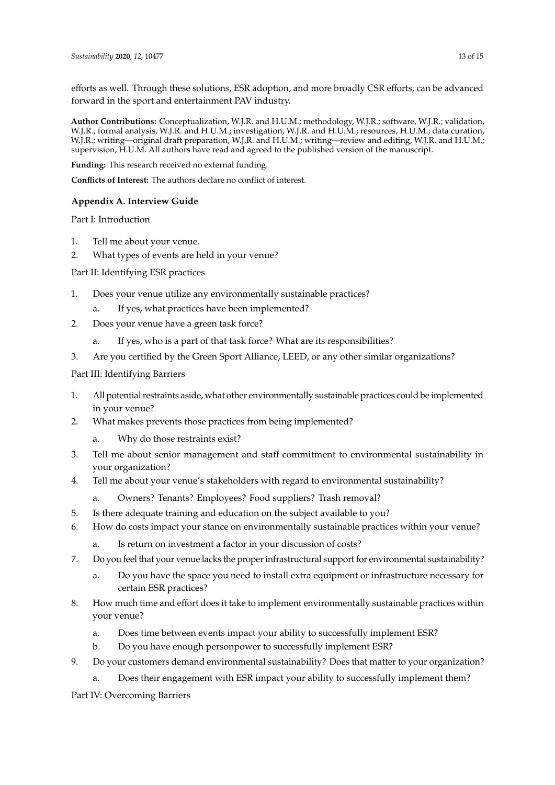efforts as well. Through these solutions, ESR adoption, and more broadly CSR efforts, can be advanced forward in the sport and entertainment PAV industry.

**Author Contributions:** Conceptualization, W.J.R. and H.U.M.; methodology, W.J.R.; software, W.J.R.; validation, W.J.R.; formal analysis, W.J.R. and H.U.M.; investigation, W.J.R. and H.U.M.; resources, H.U.M.; data curation, W.J.R.; writing—original draft preparation, W.J.R. and H.U.M.; writing—review and editing, W.J.R. and H.U.M.; supervision, H.U.M. All authors have read and agreed to the published version of the manuscript.

**Funding:** This research received no external funding.

**Conflicts of Interest:** The authors declare no conflict of interest.

# <span id="page-12-0"></span>**Appendix A. Interview Guide**

Part I: Introduction

- 1. Tell me about your venue.
- 2. What types of events are held in your venue?

Part II: Identifying ESR practices

- 1. Does your venue utilize any environmentally sustainable practices?
	- a. If yes, what practices have been implemented?
- 2. Does your venue have a green task force?
	- a. If yes, who is a part of that task force? What are its responsibilities?
- 3. Are you certified by the Green Sport Alliance, LEED, or any other similar organizations?

Part III: Identifying Barriers

- 1. All potential restraints aside, what other environmentally sustainable practices could be implemented in your venue?
- 2. What makes prevents those practices from being implemented?
	- a. Why do those restraints exist?
- 3. Tell me about senior management and staff commitment to environmental sustainability in your organization?
- 4. Tell me about your venue's stakeholders with regard to environmental sustainability?
	- a. Owners? Tenants? Employees? Food suppliers? Trash removal?
- 5. Is there adequate training and education on the subject available to you?
- 6. How do costs impact your stance on environmentally sustainable practices within your venue?
	- a. Is return on investment a factor in your discussion of costs?
- 7. Do you feel that your venue lacks the proper infrastructural support for environmental sustainability?
	- Do you have the space you need to install extra equipment or infrastructure necessary for certain ESR practices?
- 8. How much time and effort does it take to implement environmentally sustainable practices within your venue?
	- a. Does time between events impact your ability to successfully implement ESR?
	- b. Do you have enough personpower to successfully implement ESR?
- 9. Do your customers demand environmental sustainability? Does that matter to your organization?
	- a. Does their engagement with ESR impact your ability to successfully implement them?

Part IV: Overcoming Barriers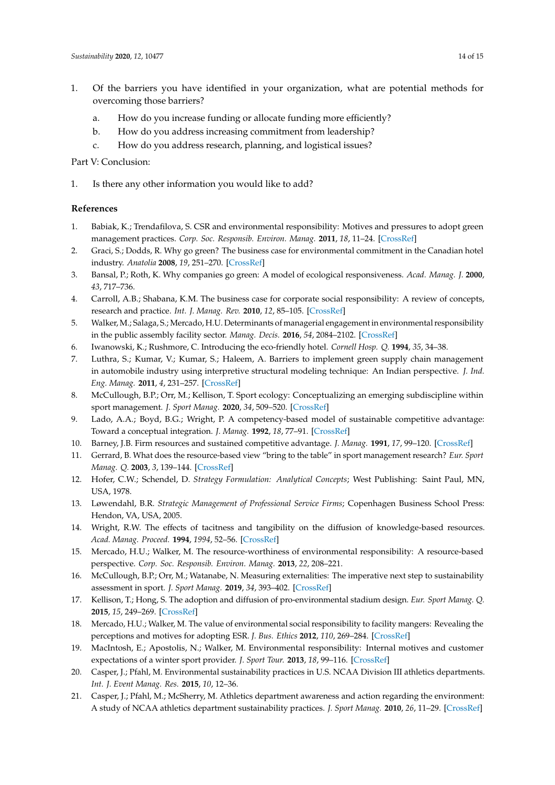- 1. Of the barriers you have identified in your organization, what are potential methods for overcoming those barriers?
	- a. How do you increase funding or allocate funding more efficiently?
	- b. How do you address increasing commitment from leadership?
	- c. How do you address research, planning, and logistical issues?

# Part V: Conclusion:

1. Is there any other information you would like to add?

### **References**

- <span id="page-13-0"></span>1. Babiak, K.; Trendafilova, S. CSR and environmental responsibility: Motives and pressures to adopt green management practices. *Corp. Soc. Responsib. Environ. Manag.* **2011**, *18*, 11–24. [\[CrossRef\]](http://dx.doi.org/10.1002/csr.229)
- <span id="page-13-1"></span>2. Graci, S.; Dodds, R. Why go green? The business case for environmental commitment in the Canadian hotel industry. *Anatolia* **2008**, *19*, 251–270. [\[CrossRef\]](http://dx.doi.org/10.1080/13032917.2008.9687072)
- <span id="page-13-2"></span>3. Bansal, P.; Roth, K. Why companies go green: A model of ecological responsiveness. *Acad. Manag. J.* **2000**, *43*, 717–736.
- <span id="page-13-3"></span>4. Carroll, A.B.; Shabana, K.M. The business case for corporate social responsibility: A review of concepts, research and practice. *Int. J. Manag. Rev.* **2010**, *12*, 85–105. [\[CrossRef\]](http://dx.doi.org/10.1111/j.1468-2370.2009.00275.x)
- <span id="page-13-4"></span>5. Walker, M.; Salaga, S.; Mercado, H.U. Determinants of managerial engagement in environmental responsibility in the public assembly facility sector. *Manag. Decis.* **2016**, *54*, 2084–2102. [\[CrossRef\]](http://dx.doi.org/10.1108/MD-04-2016-0242)
- <span id="page-13-5"></span>6. Iwanowski, K.; Rushmore, C. Introducing the eco-friendly hotel. *Cornell Hosp. Q.* **1994**, *35*, 34–38.
- <span id="page-13-6"></span>7. Luthra, S.; Kumar, V.; Kumar, S.; Haleem, A. Barriers to implement green supply chain management in automobile industry using interpretive structural modeling technique: An Indian perspective. *J. Ind. Eng. Manag.* **2011**, *4*, 231–257. [\[CrossRef\]](http://dx.doi.org/10.3926/jiem.2011.v4n2.p231-257)
- <span id="page-13-7"></span>8. McCullough, B.P.; Orr, M.; Kellison, T. Sport ecology: Conceptualizing an emerging subdiscipline within sport management. *J. Sport Manag.* **2020**, *34*, 509–520. [\[CrossRef\]](http://dx.doi.org/10.1123/jsm.2019-0294)
- <span id="page-13-8"></span>9. Lado, A.A.; Boyd, B.G.; Wright, P. A competency-based model of sustainable competitive advantage: Toward a conceptual integration. *J. Manag.* **1992**, *18*, 77–91. [\[CrossRef\]](http://dx.doi.org/10.1177/014920639201800106)
- <span id="page-13-9"></span>10. Barney, J.B. Firm resources and sustained competitive advantage. *J. Manag.* **1991**, *17*, 99–120. [\[CrossRef\]](http://dx.doi.org/10.1177/014920639101700108)
- <span id="page-13-10"></span>11. Gerrard, B. What does the resource-based view "bring to the table" in sport management research? *Eur. Sport Manag. Q.* **2003**, *3*, 139–144. [\[CrossRef\]](http://dx.doi.org/10.1080/16184740308721947)
- <span id="page-13-11"></span>12. Hofer, C.W.; Schendel, D. *Strategy Formulation: Analytical Concepts*; West Publishing: Saint Paul, MN, USA, 1978.
- <span id="page-13-12"></span>13. Løwendahl, B.R. *Strategic Management of Professional Service Firms*; Copenhagen Business School Press: Hendon, VA, USA, 2005.
- <span id="page-13-13"></span>14. Wright, R.W. The effects of tacitness and tangibility on the diffusion of knowledge-based resources. *Acad. Manag. Proceed.* **1994**, *1994*, 52–56. [\[CrossRef\]](http://dx.doi.org/10.5465/ambpp.1994.10341650)
- <span id="page-13-14"></span>15. Mercado, H.U.; Walker, M. The resource-worthiness of environmental responsibility: A resource-based perspective. *Corp. Soc. Responsib. Environ. Manag.* **2013**, *22*, 208–221.
- <span id="page-13-15"></span>16. McCullough, B.P.; Orr, M.; Watanabe, N. Measuring externalities: The imperative next step to sustainability assessment in sport. *J. Sport Manag.* **2019**, *34*, 393–402. [\[CrossRef\]](http://dx.doi.org/10.1123/jsm.2019-0254)
- <span id="page-13-16"></span>17. Kellison, T.; Hong, S. The adoption and diffusion of pro-environmental stadium design. *Eur. Sport Manag. Q.* **2015**, *15*, 249–269. [\[CrossRef\]](http://dx.doi.org/10.1080/16184742.2014.995690)
- <span id="page-13-17"></span>18. Mercado, H.U.; Walker, M. The value of environmental social responsibility to facility mangers: Revealing the perceptions and motives for adopting ESR. *J. Bus. Ethics* **2012**, *110*, 269–284. [\[CrossRef\]](http://dx.doi.org/10.1007/s10551-011-1153-x)
- <span id="page-13-18"></span>19. MacIntosh, E.; Apostolis, N.; Walker, M. Environmental responsibility: Internal motives and customer expectations of a winter sport provider. *J. Sport Tour.* **2013**, *18*, 99–116. [\[CrossRef\]](http://dx.doi.org/10.1080/14775085.2013.838145)
- <span id="page-13-19"></span>20. Casper, J.; Pfahl, M. Environmental sustainability practices in U.S. NCAA Division III athletics departments. *Int. J. Event Manag. Res.* **2015**, *10*, 12–36.
- <span id="page-13-20"></span>21. Casper, J.; Pfahl, M.; McSherry, M. Athletics department awareness and action regarding the environment: A study of NCAA athletics department sustainability practices. *J. Sport Manag.* **2010**, *26*, 11–29. [\[CrossRef\]](http://dx.doi.org/10.1123/jsm.26.1.11)